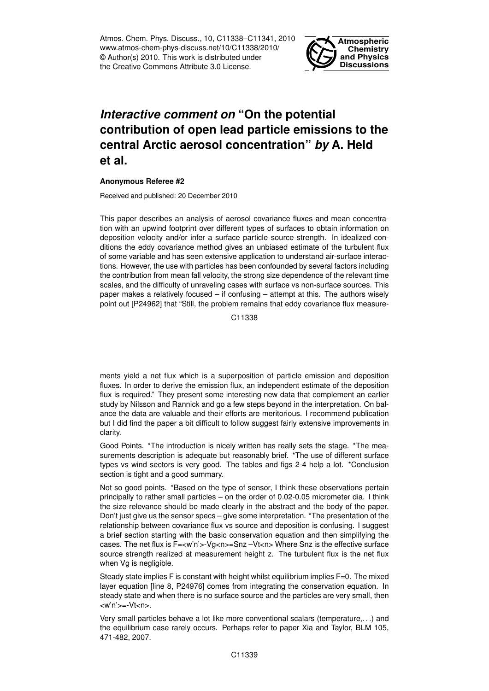Atmos. Chem. Phys. Discuss., 10, C11338–C11341, 2010 www.atmos-chem-phys-discuss.net/10/C11338/2010/ © Author(s) 2010. This work is distributed under the Creative Commons Attribute 3.0 License.



## *Interactive comment on* **"On the potential contribution of open lead particle emissions to the central Arctic aerosol concentration"** *by* **A. Held et al.**

## **Anonymous Referee #2**

Received and published: 20 December 2010

This paper describes an analysis of aerosol covariance fluxes and mean concentration with an upwind footprint over different types of surfaces to obtain information on deposition velocity and/or infer a surface particle source strength. In idealized conditions the eddy covariance method gives an unbiased estimate of the turbulent flux of some variable and has seen extensive application to understand air-surface interactions. However, the use with particles has been confounded by several factors including the contribution from mean fall velocity, the strong size dependence of the relevant time scales, and the difficulty of unraveling cases with surface vs non-surface sources. This paper makes a relatively focused – if confusing – attempt at this. The authors wisely point out [P24962] that "Still, the problem remains that eddy covariance flux measure-

C11338

ments yield a net flux which is a superposition of particle emission and deposition fluxes. In order to derive the emission flux, an independent estimate of the deposition flux is required." They present some interesting new data that complement an earlier study by Nilsson and Rannick and go a few steps beyond in the interpretation. On balance the data are valuable and their efforts are meritorious. I recommend publication but I did find the paper a bit difficult to follow suggest fairly extensive improvements in clarity.

Good Points. \*The introduction is nicely written has really sets the stage. \*The measurements description is adequate but reasonably brief. \*The use of different surface types vs wind sectors is very good. The tables and figs 2-4 help a lot. \*Conclusion section is tight and a good summary.

Not so good points. \*Based on the type of sensor, I think these observations pertain principally to rather small particles – on the order of 0.02-0.05 micrometer dia. I think the size relevance should be made clearly in the abstract and the body of the paper. Don't just give us the sensor specs – give some interpretation. \*The presentation of the relationship between covariance flux vs source and deposition is confusing. I suggest a brief section starting with the basic conservation equation and then simplifying the cases. The net flux is F=<w'n'>-Vg<n>=Snz -Vt<n> Where Snz is the effective surface source strength realized at measurement height z. The turbulent flux is the net flux when Vg is negligible.

Steady state implies  $F$  is constant with height whilst equilibrium implies  $F=0$ . The mixed layer equation [line 8, P24976] comes from integrating the conservation equation. In steady state and when there is no surface source and the particles are very small, then <w'n'> =- Vt<n>.

Very small particles behave a lot like more conventional scalars (temperature,. . .) and the equilibrium case rarely occurs. Perhaps refer to paper Xia and Taylor, BLM 105, 471-482, 2007.